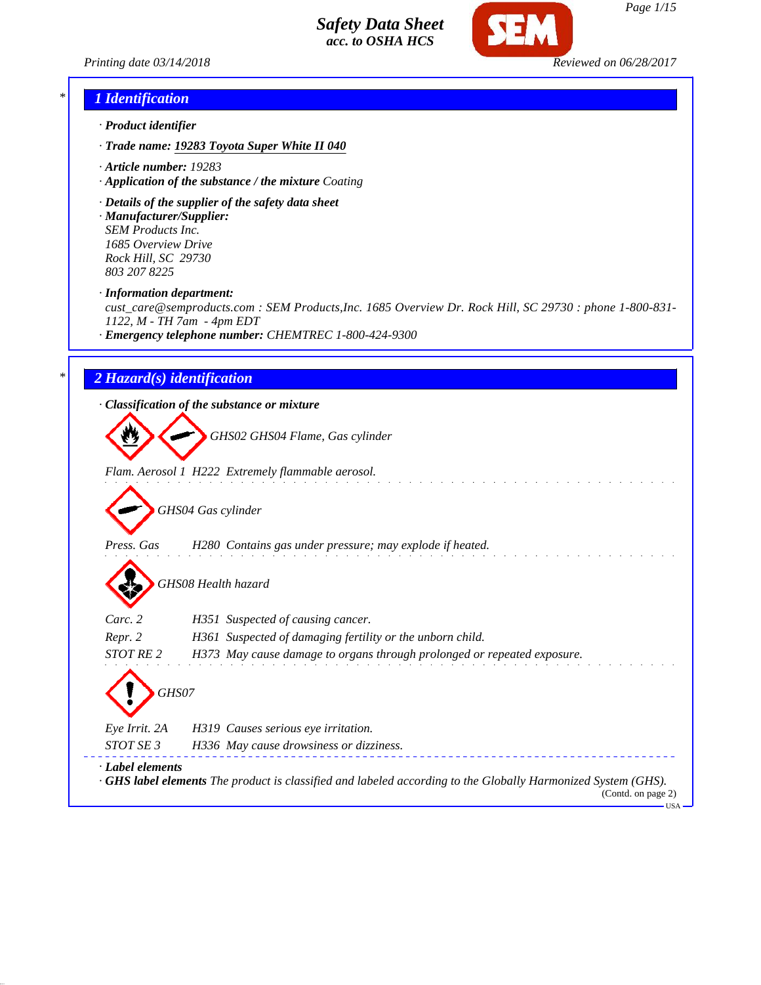

*Printing date 03/14/2018 Reviewed on 06/28/2017*

### *\* 1 Identification*

- *· Product identifier*
- *· Trade name: 19283 Toyota Super White II 040*
- *· Article number: 19283*
- *· Application of the substance / the mixture Coating*
- *· Details of the supplier of the safety data sheet*
- *· Manufacturer/Supplier: SEM Products Inc. 1685 Overview Drive Rock Hill, SC 29730 803 207 8225*
- *· Information department:*

*cust\_care@semproducts.com : SEM Products,Inc. 1685 Overview Dr. Rock Hill, SC 29730 : phone 1-800-831- 1122, M - TH 7am - 4pm EDT*

*· Emergency telephone number: CHEMTREC 1-800-424-9300*

### *\* 2 Hazard(s) identification*

*· Classification of the substance or mixture*

*GHS02 GHS04 Flame, Gas cylinder*

*Flam. Aerosol 1 H222 Extremely flammable aerosol.*

*GHS04 Gas cylinder*

*Press. Gas H280 Contains gas under pressure; may explode if heated.*

*GHS08 Health hazard*

| Carc. 2                          | H351 Suspected of causing cancer.                                       |
|----------------------------------|-------------------------------------------------------------------------|
| Repr. 2                          | H361 Suspected of damaging fertility or the unborn child.               |
| <i>STOT RE 2</i>                 | H373 May cause damage to organs through prolonged or repeated exposure. |
| $\langle \cdot \rangle$<br>GHS07 |                                                                         |
| Eye Irrit. 2A                    | H319 Causes serious eye irritation.                                     |
| <i>STOT SE 3</i>                 | H336 May cause drowsiness or dizziness.                                 |

*· Label elements · GHS label elements The product is classified and labeled according to the Globally Harmonized System (GHS).* (Contd. on page 2)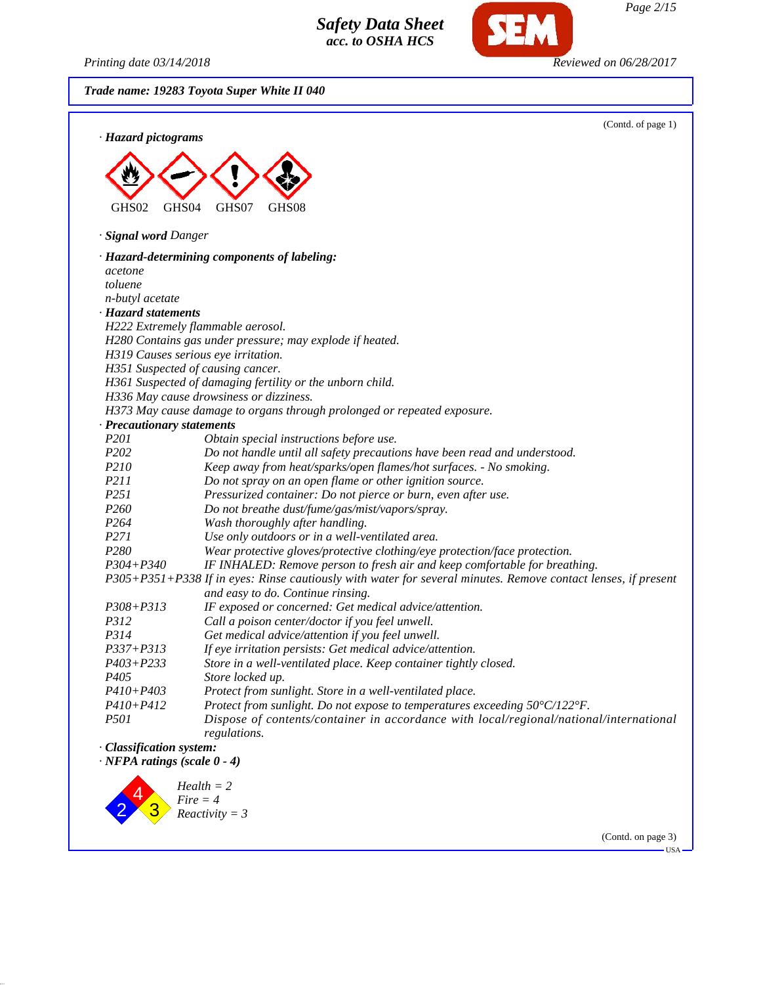*Printing date 03/14/2018 Reviewed on 06/28/2017*

*Trade name: 19283 Toyota Super White II 040*



(Contd. on page 3)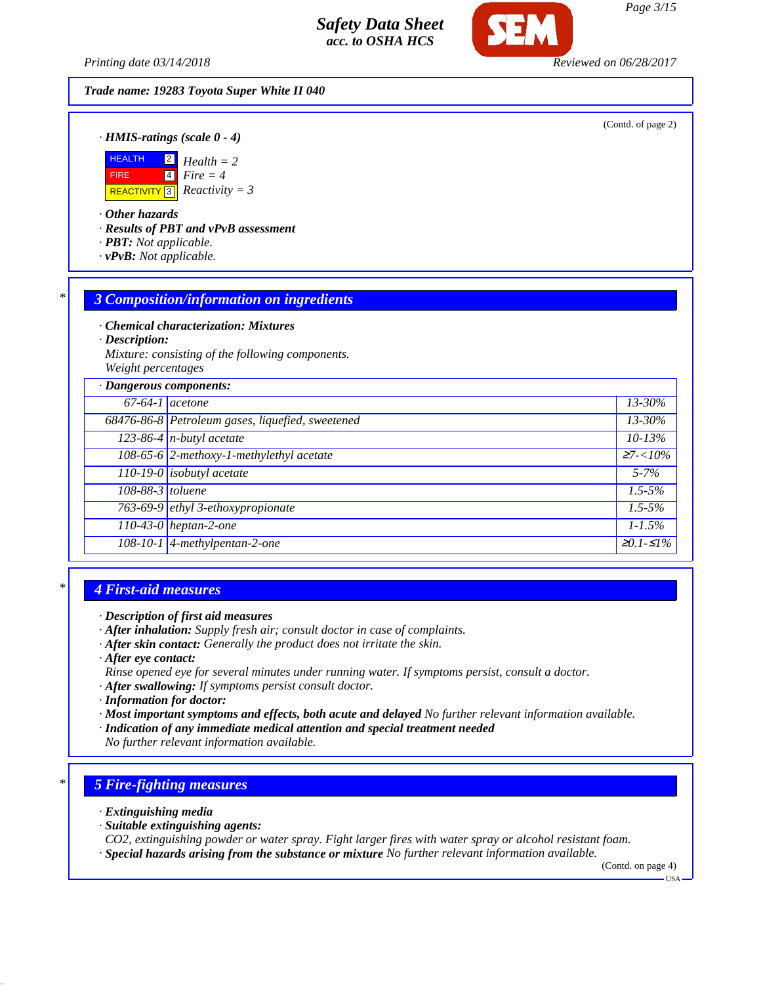*Printing date 03/14/2018 Reviewed on 06/28/2017*

#### *Trade name: 19283 Toyota Super White II 040*

(Contd. of page 2)

*· HMIS-ratings (scale 0 - 4)*



*· Other hazards*

*· Results of PBT and vPvB assessment*

- *· PBT: Not applicable.*
- *· vPvB: Not applicable.*

#### *\* 3 Composition/information on ingredients*

*· Chemical characterization: Mixtures*

*· Description:*

*Mixture: consisting of the following components. Weight percentages*

| · Dangerous components: |                                                  |                 |
|-------------------------|--------------------------------------------------|-----------------|
| $67-64-1$ acetone       |                                                  | $13 - 30\%$     |
|                         | 68476-86-8 Petroleum gases, liquefied, sweetened | $13 - 30\%$     |
|                         | $123-86-4$ n-butyl acetate                       | $10 - 13%$      |
|                         | 108-65-6 2-methoxy-1-methylethyl acetate         | $\geq 7 < 10\%$ |
|                         | 110-19-0 isobutyl acetate                        | $5 - 7\%$       |
| 108-88-3 toluene        |                                                  | $1.5 - 5\%$     |
|                         | 763-69-9 ethyl 3-ethoxypropionate                | $1.5 - 5\%$     |
|                         | $110-43-0$ heptan-2-one                          | $1 - 1.5\%$     |
|                         | 108-10-1 4-methylpentan-2-one                    | $≥0.1-S1%$      |

### *\* 4 First-aid measures*

- *· After inhalation: Supply fresh air; consult doctor in case of complaints.*
- *· After skin contact: Generally the product does not irritate the skin.*
- *· After eye contact:*
- *Rinse opened eye for several minutes under running water. If symptoms persist, consult a doctor.*
- *· After swallowing: If symptoms persist consult doctor.*
- *· Information for doctor:*
- *· Most important symptoms and effects, both acute and delayed No further relevant information available.*
- *· Indication of any immediate medical attention and special treatment needed*
- *No further relevant information available.*

### *\* 5 Fire-fighting measures*

- *· Extinguishing media*
- *· Suitable extinguishing agents:*
- *CO2, extinguishing powder or water spray. Fight larger fires with water spray or alcohol resistant foam.*
- *· Special hazards arising from the substance or mixture No further relevant information available.*

(Contd. on page 4)

USA

*Page 3/15*

*<sup>·</sup> Description of first aid measures*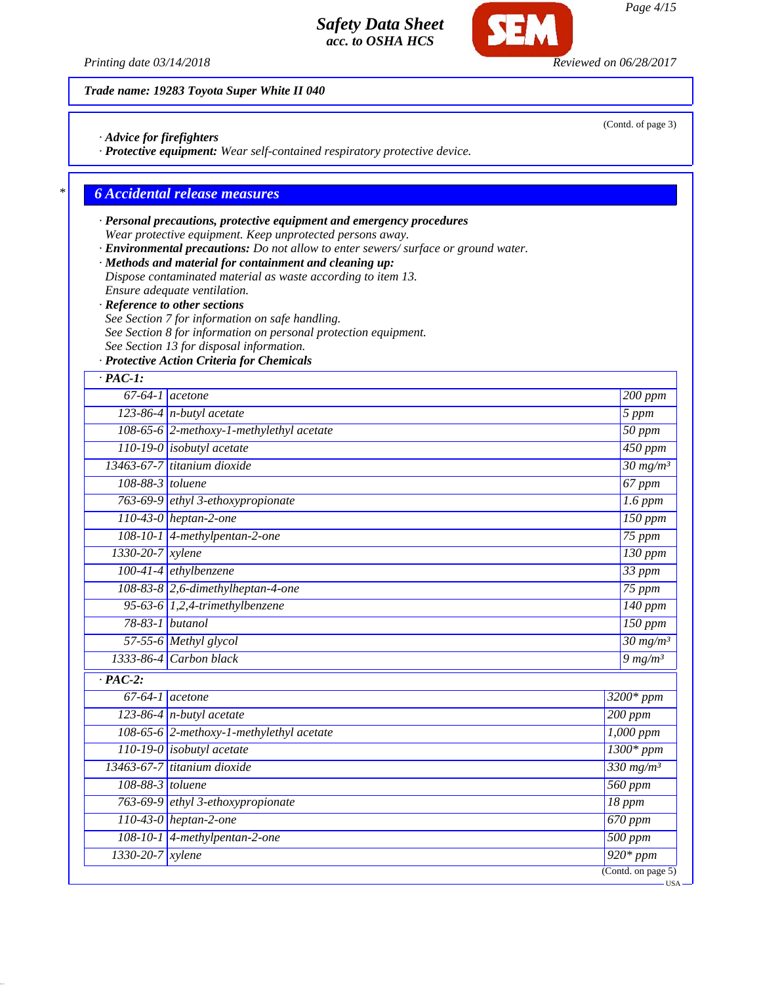*Printing date 03/14/2018 Reviewed on 06/28/2017*

*Trade name: 19283 Toyota Super White II 040*

- *· Advice for firefighters*
- *· Protective equipment: Wear self-contained respiratory protective device.*

### *\* 6 Accidental release measures*

- *· Personal precautions, protective equipment and emergency procedures Wear protective equipment. Keep unprotected persons away.*
- *· Environmental precautions: Do not allow to enter sewers/ surface or ground water.*
- *· Methods and material for containment and cleaning up: Dispose contaminated material as waste according to item 13. Ensure adequate ventilation.*
- *· Reference to other sections*
- *See Section 7 for information on safe handling.*
- *See Section 8 for information on personal protection equipment.*
- *See Section 13 for disposal information.*
- *· Protective Action Criteria for Chemicals*

| $67-64-1$ acetone                        |                                          |                            | $200$ ppm              |
|------------------------------------------|------------------------------------------|----------------------------|------------------------|
| $123-86-4$ n-butyl acetate               |                                          |                            | $\overline{5}$ ppm     |
| 108-65-6 2-methoxy-1-methylethyl acetate |                                          |                            | $\overline{50}$ ppm    |
|                                          | $110-19-0$ isobutyl acetate              |                            | 450 ppm                |
|                                          | 13463-67-7 titanium dioxide              |                            | $30 \frac{mg}{m^3}$    |
| 108-88-3 toluene                         |                                          |                            | 67 ppm                 |
|                                          | 763-69-9 ethyl 3-ethoxypropionate        |                            | $1.6$ ppm              |
|                                          | 110-43-0 heptan-2-one                    |                            | $150$ ppm              |
|                                          | 108-10-1 4-methylpentan-2-one            |                            | 75 ppm                 |
| 1330-20-7 xylene                         |                                          |                            | $130$ ppm              |
|                                          | $100-41-4$ ethylbenzene                  |                            | 33 ppm                 |
|                                          | 108-83-8 2,6-dimethylheptan-4-one        |                            | $75$ ppm               |
|                                          | 95-63-6 $1,2,4$ -trimethylbenzene        |                            | $140$ ppm              |
|                                          | 78-83-1 butanol                          |                            | $150$ ppm              |
|                                          | 57-55-6 Methyl glycol                    |                            | $30$ mg/m <sup>3</sup> |
|                                          | 1333-86-4 Carbon black                   |                            | 9 $mg/m^3$             |
| $\overline{PAC-2}$ :                     |                                          |                            |                        |
| $\overline{67-64-1}$ acetone             |                                          | $3200*ppm$                 |                        |
|                                          | $123-86-4$ n-butyl acetate               | $200$ ppm                  |                        |
|                                          | 108-65-6 2-methoxy-1-methylethyl acetate | $\overline{1,000}$ ppm     |                        |
|                                          | $110-19-0$ isobutyl acetate              | $1300*ppm$                 |                        |
|                                          | 13463-67-7 titanium dioxide              | $\frac{330 \text{ mg}}{m}$ |                        |
| 108-88-3 toluene                         |                                          | 560 ppm                    |                        |
|                                          | 763-69-9 ethyl 3-ethoxypropionate        | 18 ppm                     |                        |
|                                          | 110-43-0 heptan-2-one                    | $\overline{670}$ ppm       |                        |
|                                          | 108-10-1 4-methylpentan-2-one            | 500 ppm                    |                        |
| 1330-20-7                                | $x$ ylene                                | $\overline{920*}$ ppm      |                        |

(Contd. of page 3)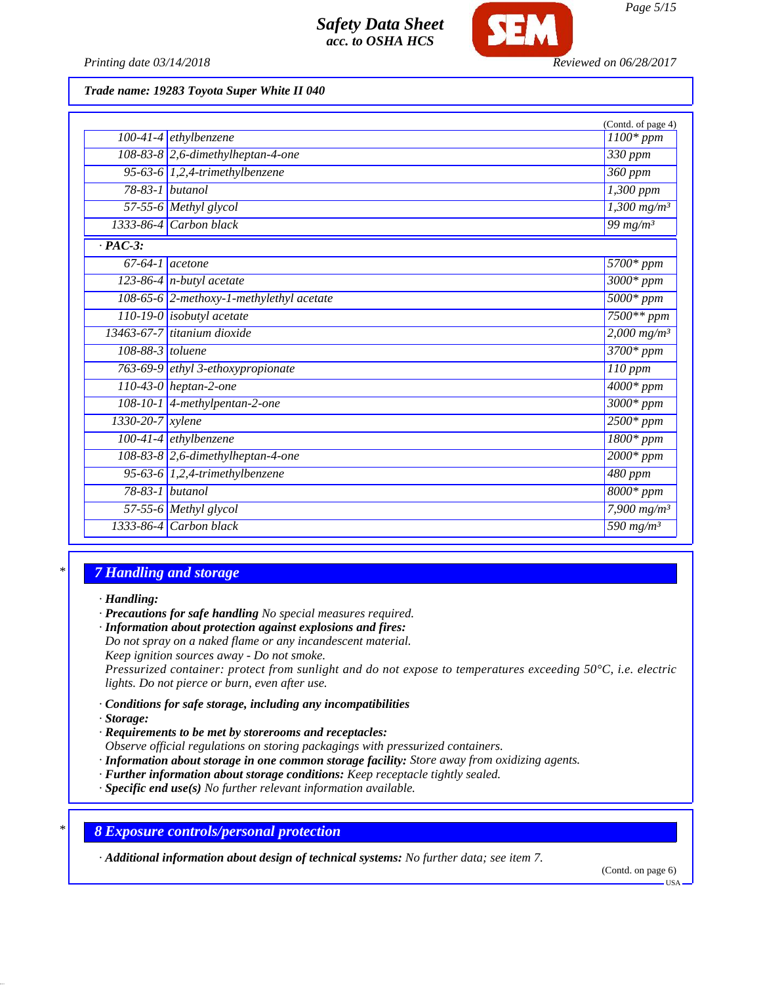

*Printing date 03/14/2018 Reviewed on 06/28/2017*

*Trade name: 19283 Toyota Super White II 040*

|                   |                                                | (Contd. of page 4)                |
|-------------------|------------------------------------------------|-----------------------------------|
|                   | $100-41-4$ ethylbenzene                        | $1100*ppm$                        |
|                   | 108-83-8 2,6-dimethylheptan-4-one              | 330 ppm                           |
|                   | 95-63-6 $1,2,4$ -trimethylbenzene              | 360 ppm                           |
|                   | $78-83-1$ butanol                              | 1,300 ppm                         |
|                   | 57-55-6 Methyl glycol                          | $1,300$ mg/m <sup>3</sup>         |
|                   | $1333-86-4$ Carbon black                       | 99 $mg/m^3$                       |
| $\cdot$ PAC-3:    |                                                |                                   |
| $67-64-1$ acetone |                                                | 5700* ppm                         |
|                   | $\sqrt{123-86-4}$ n-butyl acetate              | $3000*$ ppm                       |
|                   | 108-65-6 2-methoxy-1-methylethyl acetate       | $5000*ppm$                        |
|                   | 110-19-0 isobutyl acetate                      | $7500**$ ppm                      |
|                   | 13463-67-7 titanium dioxide                    | $2,000 \,\mathrm{mg/m^3}$         |
| 108-88-3 toluene  |                                                | $3700*ppm$                        |
|                   | 763-69-9 ethyl 3-ethoxypropionate              | 110 ppm                           |
|                   | $110-43-0$ heptan-2-one                        | $4000*$ ppm                       |
|                   | $108-10-1$ 4-methylpentan-2-one                | $3000*$ ppm                       |
| 1330-20-7 xylene  |                                                | $2500*ppm$                        |
|                   | $100-41-4$ ethylbenzene                        | $1800*ppm$                        |
|                   | $\overline{108-83-8}$ 2,6-dimethylheptan-4-one | $2000*$ ppm                       |
|                   | 95-63-6 $1,2,4$ -trimethylbenzene              | 480 ppm                           |
|                   | 78-83-1 butanol                                | $8000*$ ppm                       |
|                   | 57-55-6 Methyl glycol                          | $7,900$ mg/m <sup>3</sup>         |
|                   | 1333-86-4 Carbon black                         | $\frac{1}{590}$ mg/m <sup>3</sup> |

### *\* 7 Handling and storage*

*· Handling:*

*· Precautions for safe handling No special measures required.*

*· Information about protection against explosions and fires:*

*Do not spray on a naked flame or any incandescent material. Keep ignition sources away - Do not smoke.*

*Pressurized container: protect from sunlight and do not expose to temperatures exceeding 50°C, i.e. electric lights. Do not pierce or burn, even after use.*

- *· Conditions for safe storage, including any incompatibilities*
- *· Storage:*
- *· Requirements to be met by storerooms and receptacles: Observe official regulations on storing packagings with pressurized containers.*
- *· Information about storage in one common storage facility: Store away from oxidizing agents.*
- *· Further information about storage conditions: Keep receptacle tightly sealed.*
- *· Specific end use(s) No further relevant information available.*

*\* 8 Exposure controls/personal protection*

*· Additional information about design of technical systems: No further data; see item 7.*

(Contd. on page 6)

USA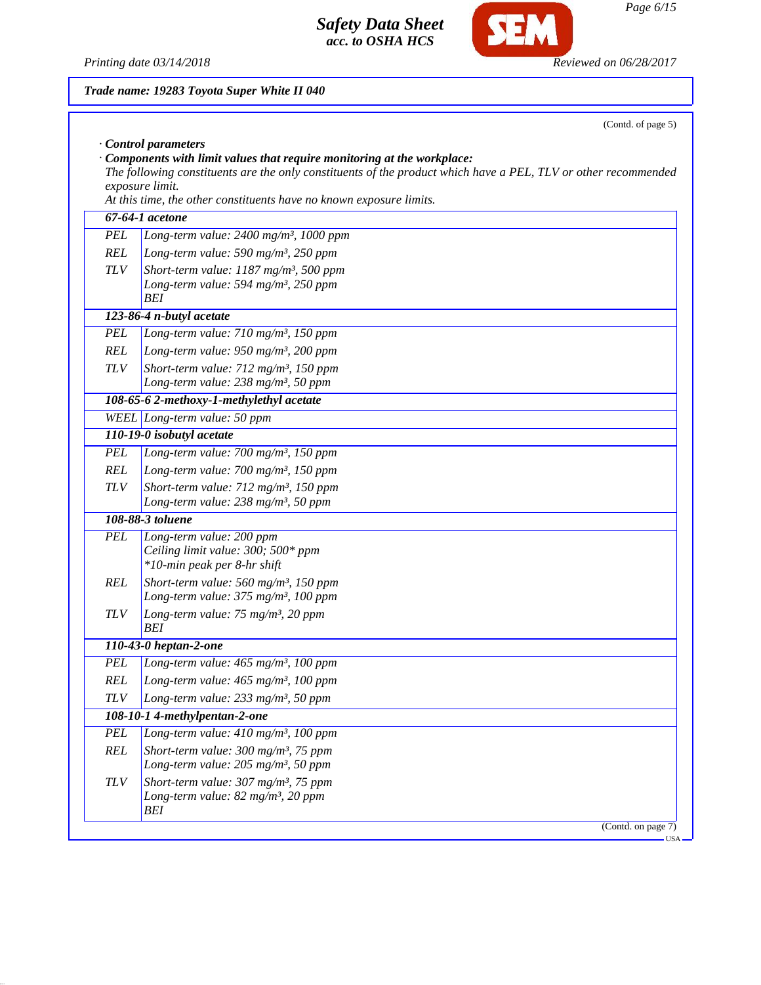*Printing date 03/14/2018 Reviewed on 06/28/2017*

*REL Long-term value: 465 mg/m³, 100 ppm TLV Long-term value: 233 mg/m³, 50 ppm*

*PEL Long-term value: 410 mg/m³, 100 ppm REL Short-term value: 300 mg/m³, 75 ppm Long-term value: 205 mg/m³, 50 ppm TLV Short-term value: 307 mg/m³, 75 ppm Long-term value: 82 mg/m³, 20 ppm*

*108-10-1 4-methylpentan-2-one*

*BEI*

**SEM** 

|            | Trade name: 19283 Toyota Super White II 040                                                                                                                                                                                                                                                |
|------------|--------------------------------------------------------------------------------------------------------------------------------------------------------------------------------------------------------------------------------------------------------------------------------------------|
|            | (Contd. of page 5)                                                                                                                                                                                                                                                                         |
|            | Control parameters                                                                                                                                                                                                                                                                         |
|            | $\cdot$ Components with limit values that require monitoring at the workplace:<br>The following constituents are the only constituents of the product which have a PEL, TLV or other recommended<br>exposure limit.<br>At this time, the other constituents have no known exposure limits. |
|            | 67-64-1 acetone                                                                                                                                                                                                                                                                            |
| <b>PEL</b> | Long-term value: 2400 mg/m <sup>3</sup> , 1000 ppm                                                                                                                                                                                                                                         |
| REL        | Long-term value: 590 mg/m <sup>3</sup> , 250 ppm                                                                                                                                                                                                                                           |
| <b>TLV</b> | Short-term value: $1187$ mg/m <sup>3</sup> , 500 ppm                                                                                                                                                                                                                                       |
|            | Long-term value: 594 mg/m <sup>3</sup> , 250 ppm                                                                                                                                                                                                                                           |
|            | <b>BEI</b>                                                                                                                                                                                                                                                                                 |
|            | 123-86-4 n-butyl acetate                                                                                                                                                                                                                                                                   |
| <b>PEL</b> | Long-term value: 710 mg/m <sup>3</sup> , 150 ppm                                                                                                                                                                                                                                           |
| REL        | Long-term value: 950 mg/m <sup>3</sup> , 200 ppm                                                                                                                                                                                                                                           |
| <b>TLV</b> | Short-term value: 712 mg/m <sup>3</sup> , 150 ppm                                                                                                                                                                                                                                          |
|            | Long-term value: 238 mg/m <sup>3</sup> , 50 ppm                                                                                                                                                                                                                                            |
|            | 108-65-6 2-methoxy-1-methylethyl acetate                                                                                                                                                                                                                                                   |
|            | WEEL Long-term value: 50 ppm                                                                                                                                                                                                                                                               |
|            | 110-19-0 isobutyl acetate                                                                                                                                                                                                                                                                  |
| <b>PEL</b> | Long-term value: 700 mg/m <sup>3</sup> , 150 ppm                                                                                                                                                                                                                                           |
| <b>REL</b> | Long-term value: $700$ mg/m <sup>3</sup> , 150 ppm                                                                                                                                                                                                                                         |
| <b>TLV</b> | Short-term value: 712 mg/m <sup>3</sup> , 150 ppm                                                                                                                                                                                                                                          |
|            | Long-term value: 238 mg/m <sup>3</sup> , 50 ppm                                                                                                                                                                                                                                            |
|            | 108-88-3 toluene                                                                                                                                                                                                                                                                           |
| <b>PEL</b> | Long-term value: 200 ppm                                                                                                                                                                                                                                                                   |
|            | Ceiling limit value: 300; 500* ppm                                                                                                                                                                                                                                                         |
|            | *10-min peak per 8-hr shift                                                                                                                                                                                                                                                                |
| <b>REL</b> | Short-term value: $560$ mg/m <sup>3</sup> , 150 ppm                                                                                                                                                                                                                                        |
|            | Long-term value: 375 mg/m <sup>3</sup> , 100 ppm                                                                                                                                                                                                                                           |
| <b>TLV</b> | Long-term value: 75 mg/m <sup>3</sup> , 20 ppm<br>BEI                                                                                                                                                                                                                                      |
|            | 110-43-0 heptan-2-one                                                                                                                                                                                                                                                                      |
| <b>PEL</b> | Long-term value: $465$ mg/m <sup>3</sup> , 100 ppm                                                                                                                                                                                                                                         |
|            |                                                                                                                                                                                                                                                                                            |

(Contd. on page 7)  $-<sub>USA</sub>$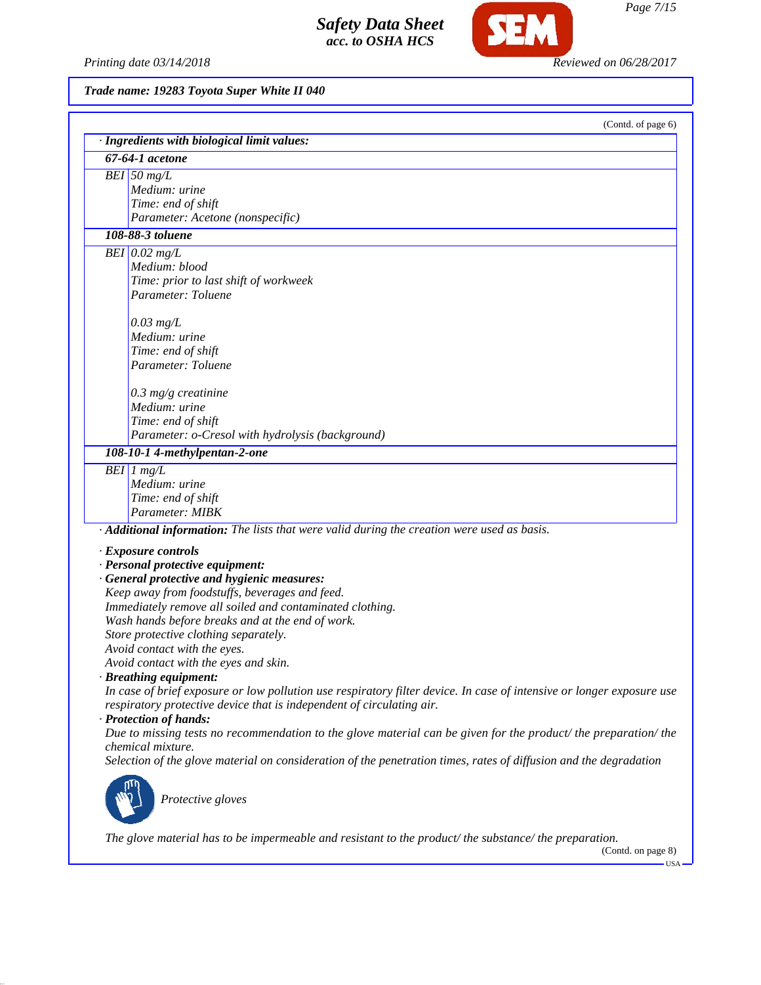*Printing date 03/14/2018 Reviewed on 06/28/2017*

**SEM** 

*Trade name: 19283 Toyota Super White II 040*

| (Contd. of page 6)                                                                                                    |
|-----------------------------------------------------------------------------------------------------------------------|
| · Ingredients with biological limit values:                                                                           |
| 67-64-1 acetone                                                                                                       |
| $BEI$ 50 mg/L                                                                                                         |
| Medium: urine                                                                                                         |
| Time: end of shift                                                                                                    |
| Parameter: Acetone (nonspecific)                                                                                      |
| 108-88-3 toluene                                                                                                      |
| BEI $0.02$ mg/L                                                                                                       |
| Medium: blood                                                                                                         |
| Time: prior to last shift of workweek                                                                                 |
| Parameter: Toluene                                                                                                    |
| $0.03$ mg/L                                                                                                           |
| Medium: urine                                                                                                         |
| Time: end of shift                                                                                                    |
| Parameter: Toluene                                                                                                    |
|                                                                                                                       |
| $0.3$ mg/g creatinine                                                                                                 |
| Medium: urine                                                                                                         |
| Time: end of shift                                                                                                    |
| Parameter: o-Cresol with hydrolysis (background)                                                                      |
| 108-10-1 4-methylpentan-2-one                                                                                         |
| $\overline{BEI}$ 1 mg/L                                                                                               |
| Medium: urine                                                                                                         |
| Time: end of shift                                                                                                    |
| Parameter: MIBK                                                                                                       |
| · Additional information: The lists that were valid during the creation were used as basis.                           |
|                                                                                                                       |
| · Exposure controls<br>· Personal protective equipment:                                                               |
| · General protective and hygienic measures:                                                                           |
| Keep away from foodstuffs, beverages and feed.                                                                        |
| Immediately remove all soiled and contaminated clothing.                                                              |
| Wash hands before breaks and at the end of work.                                                                      |
| Store protective clothing separately.                                                                                 |
| Avoid contact with the eyes.                                                                                          |
| Avoid contact with the eyes and skin.                                                                                 |
| $\cdot$ Breathing equipment:                                                                                          |
| In case of brief exposure or low pollution use respiratory filter device. In case of intensive or longer exposure use |
| respiratory protective device that is independent of circulating air.                                                 |
| · Protection of hands:                                                                                                |
| Due to missing tests no recommendation to the glove material can be given for the product/ the preparation/ the       |
| chemical mixture.                                                                                                     |
| Selection of the glove material on consideration of the penetration times, rates of diffusion and the degradation     |
|                                                                                                                       |
|                                                                                                                       |
| Protective gloves                                                                                                     |
|                                                                                                                       |
| The glove material has to be impermeable and resistant to the product/the substance/the preparation.                  |
|                                                                                                                       |

(Contd. on page 8)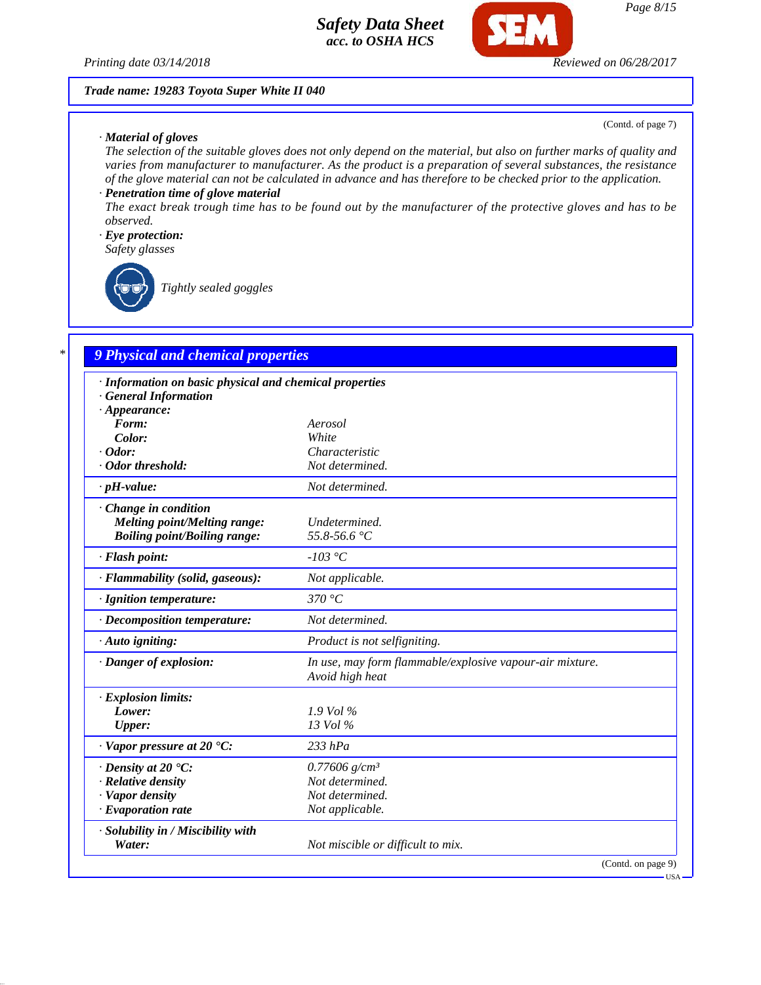

*Trade name: 19283 Toyota Super White II 040*

(Contd. of page 7)

USA

### *· Material of gloves*

*The selection of the suitable gloves does not only depend on the material, but also on further marks of quality and varies from manufacturer to manufacturer. As the product is a preparation of several substances, the resistance of the glove material can not be calculated in advance and has therefore to be checked prior to the application.*

## *· Penetration time of glove material*

*The exact break trough time has to be found out by the manufacturer of the protective gloves and has to be observed.*

### *· Eye protection:*

*Safety glasses*

*Tightly sealed goggles*

## *\* 9 Physical and chemical properties*

| · Information on basic physical and chemical properties |                                                                             |
|---------------------------------------------------------|-----------------------------------------------------------------------------|
| <b>General Information</b>                              |                                                                             |
| $\cdot$ Appearance:                                     |                                                                             |
| Form:                                                   | Aerosol                                                                     |
| Color:                                                  | White                                                                       |
| $\cdot$ Odor:                                           | Characteristic                                                              |
| · Odor threshold:                                       | Not determined.                                                             |
| $\cdot$ pH-value:                                       | Not determined.                                                             |
| $\cdot$ Change in condition                             |                                                                             |
| <b>Melting point/Melting range:</b>                     | Undetermined.                                                               |
| <b>Boiling point/Boiling range:</b>                     | 55.8-56.6 °C                                                                |
| · Flash point:                                          | $-103$ °C                                                                   |
| · Flammability (solid, gaseous):                        | Not applicable.                                                             |
| · Ignition temperature:                                 | 370 °C                                                                      |
| · Decomposition temperature:                            | Not determined.                                                             |
| · Auto igniting:                                        | Product is not selfigniting.                                                |
| · Danger of explosion:                                  | In use, may form flammable/explosive vapour-air mixture.<br>Avoid high heat |
| · Explosion limits:                                     |                                                                             |
| Lower:                                                  | $1.9$ Vol %                                                                 |
| <b>Upper:</b>                                           | 13 Vol %                                                                    |
| $\cdot$ Vapor pressure at 20 $\cdot$ C:                 | $233$ $hPa$                                                                 |
| $\cdot$ Density at 20 $\cdot$ C:                        | $0.77606$ g/cm <sup>3</sup>                                                 |
| · Relative density                                      | Not determined.                                                             |
| · Vapor density                                         | Not determined.                                                             |
| $\cdot$ Evaporation rate                                | Not applicable.                                                             |
| · Solubility in / Miscibility with                      |                                                                             |
| Water:                                                  | Not miscible or difficult to mix.                                           |
|                                                         | (Contd. on page 9)                                                          |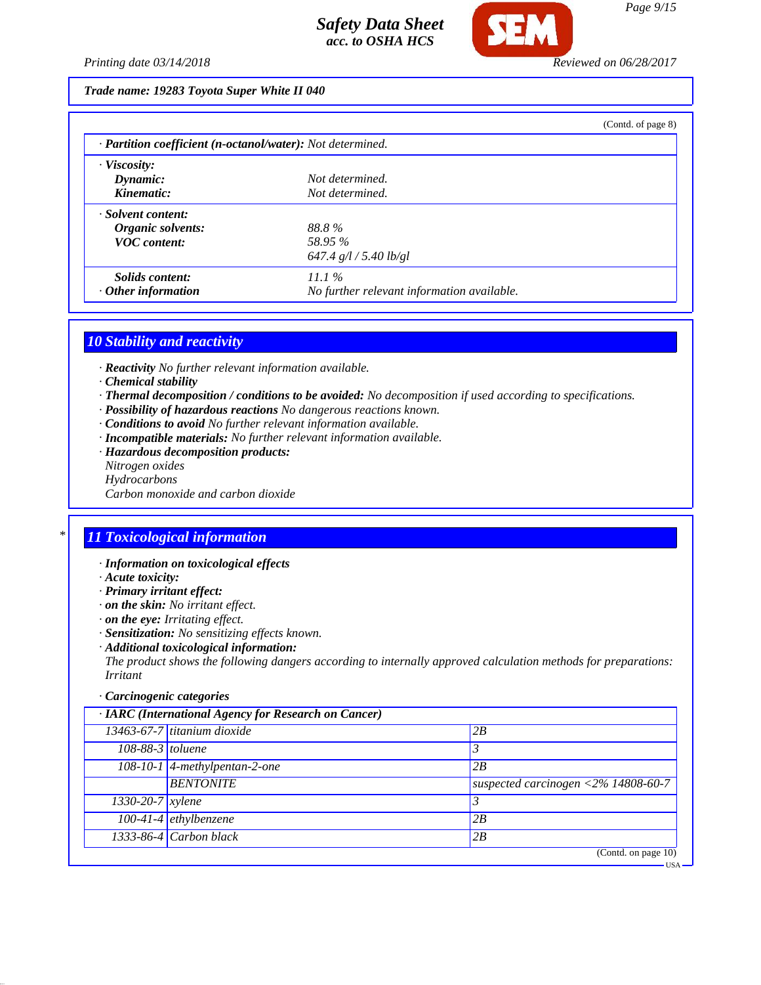

#### *Trade name: 19283 Toyota Super White II 040*

|                                                            |                                            | (Contd. of page 8) |
|------------------------------------------------------------|--------------------------------------------|--------------------|
| · Partition coefficient (n-octanol/water): Not determined. |                                            |                    |
| $\cdot$ Viscosity:                                         |                                            |                    |
| Dynamic:                                                   | Not determined.                            |                    |
| Kinematic:                                                 | Not determined.                            |                    |
| · Solvent content:                                         |                                            |                    |
| Organic solvents:                                          | 88.8%                                      |                    |
| <b>VOC</b> content:                                        | 58.95 %                                    |                    |
|                                                            | 647.4 g/l / 5.40 lb/gl                     |                    |
| Solids content:                                            | $11.1\%$                                   |                    |
| $\cdot$ Other information                                  | No further relevant information available. |                    |

### *10 Stability and reactivity*

- *· Reactivity No further relevant information available.*
- *· Chemical stability*
- *· Thermal decomposition / conditions to be avoided: No decomposition if used according to specifications.*
- *· Possibility of hazardous reactions No dangerous reactions known.*
- *· Conditions to avoid No further relevant information available.*
- *· Incompatible materials: No further relevant information available.*
- *· Hazardous decomposition products:*
- *Nitrogen oxides*
- *Hydrocarbons*
- *Carbon monoxide and carbon dioxide*

## *\* 11 Toxicological information*

- *· Information on toxicological effects*
- *· Acute toxicity:*
- *· Primary irritant effect:*
- *· on the skin: No irritant effect.*
- *· on the eye: Irritating effect.*
- *· Sensitization: No sensitizing effects known.*
- *· Additional toxicological information:*

*The product shows the following dangers according to internally approved calculation methods for preparations: Irritant*

### *· Carcinogenic categories*

| · IARC (International Agency for Research on Cancer) |                                 |                                                           |
|------------------------------------------------------|---------------------------------|-----------------------------------------------------------|
|                                                      | $13463-67-7$ titanium dioxide   | 2B                                                        |
| 108-88-3 toluene                                     |                                 |                                                           |
|                                                      | $108-10-1$ 4-methylpentan-2-one | 2B                                                        |
|                                                      | <b>BENTONITE</b>                | suspected carcinogen $\langle 2\% 14808 - 60 - 7 \rangle$ |
| $1330 - 20 - 7$ <i>xylene</i>                        |                                 |                                                           |
|                                                      | $100-41-4$ ethylbenzene         | 2B                                                        |
|                                                      | 1333-86-4 Carbon black          | 2B                                                        |
|                                                      |                                 | (Contd. on page $10$ )                                    |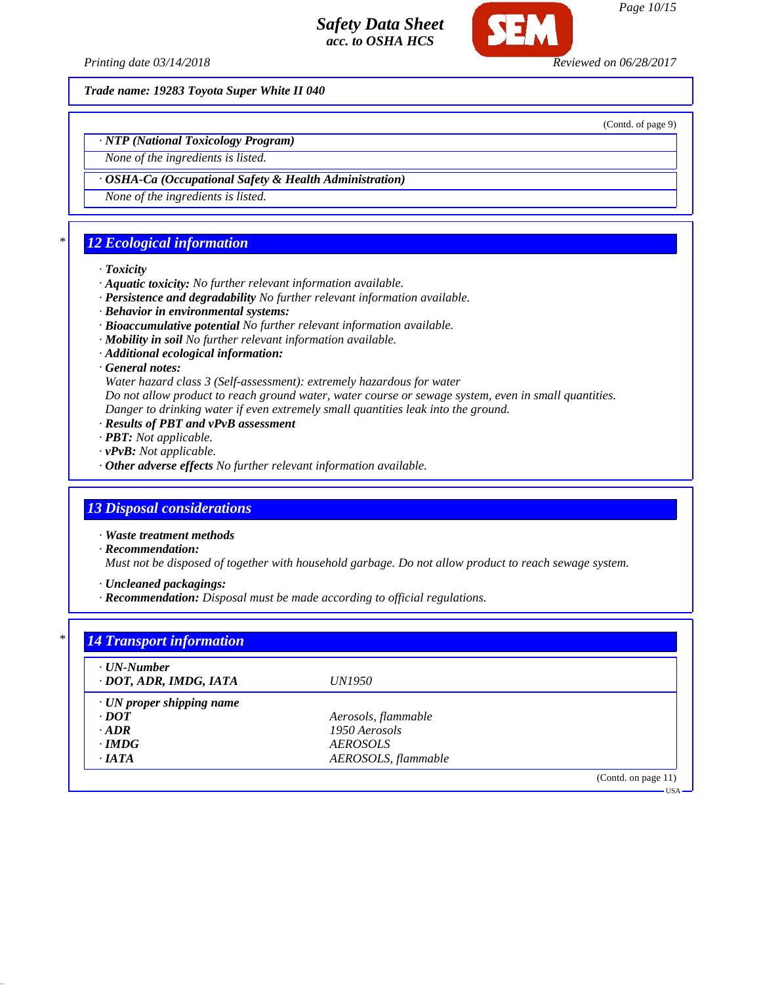

*Page 10/15*

*Printing date 03/14/2018 Reviewed on 06/28/2017*

*Trade name: 19283 Toyota Super White II 040*

(Contd. of page 9)

*· NTP (National Toxicology Program)*

*None of the ingredients is listed.*

*· OSHA-Ca (Occupational Safety & Health Administration)*

*None of the ingredients is listed.*

# *\* 12 Ecological information*

### *· Toxicity*

- *· Aquatic toxicity: No further relevant information available.*
- *· Persistence and degradability No further relevant information available.*
- *· Behavior in environmental systems:*
- *· Bioaccumulative potential No further relevant information available.*
- *· Mobility in soil No further relevant information available.*
- *· Additional ecological information:*
- *· General notes:*

*Water hazard class 3 (Self-assessment): extremely hazardous for water*

*Do not allow product to reach ground water, water course or sewage system, even in small quantities.*

- *Danger to drinking water if even extremely small quantities leak into the ground.*
- *· Results of PBT and vPvB assessment*
- *· PBT: Not applicable.*
- *· vPvB: Not applicable.*
- *· Other adverse effects No further relevant information available.*

## *13 Disposal considerations*

*· Waste treatment methods*

*· Recommendation:*

*Must not be disposed of together with household garbage. Do not allow product to reach sewage system.*

*· Uncleaned packagings:*

*· Recommendation: Disposal must be made according to official regulations.*

| · UN-Number                     |                        |  |
|---------------------------------|------------------------|--|
| · DOT, ADR, IMDG, IATA          | <i>UN1950</i>          |  |
| $\cdot$ UN proper shipping name |                        |  |
| $\cdot$ <i>DOT</i>              | Aerosols, flammable    |  |
| $\cdot$ ADR                     | 1950 Aerosols          |  |
| $\cdot$ IMDG                    | <i><b>AEROSOLS</b></i> |  |
| $\cdot$ IATA                    | AEROSOLS, flammable    |  |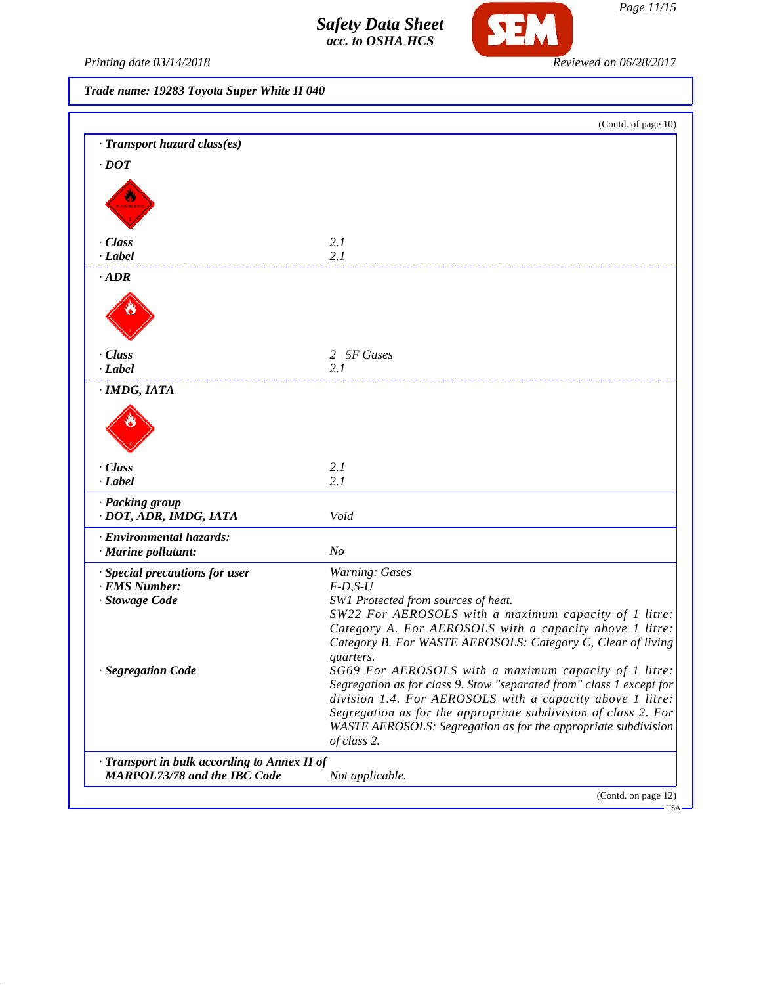

Printing date 03/14/2018 **Reviewed on 06/28/2017** 

*Trade name: 19283 Toyota Super White II 040*

|                                              | (Contd. of page 10)                                                      |
|----------------------------------------------|--------------------------------------------------------------------------|
| · Transport hazard class(es)                 |                                                                          |
| $\cdot$ DOT                                  |                                                                          |
|                                              |                                                                          |
|                                              |                                                                          |
|                                              |                                                                          |
| · Class                                      | 2.1                                                                      |
| $-Label$                                     | 2.1                                                                      |
| $\cdot$ ADR                                  |                                                                          |
|                                              |                                                                          |
|                                              |                                                                          |
|                                              |                                                                          |
| · Class                                      | 2 5F Gases                                                               |
| $\cdot$ <i>Label</i>                         | 2.1                                                                      |
| · IMDG, IATA                                 |                                                                          |
|                                              |                                                                          |
|                                              |                                                                          |
|                                              |                                                                          |
|                                              |                                                                          |
| · Class<br>$\cdot$ <i>Label</i>              | 2.1<br>2.1                                                               |
|                                              |                                                                          |
| · Packing group<br>· DOT, ADR, IMDG, IATA    | Void                                                                     |
| · Environmental hazards:                     |                                                                          |
| · Marine pollutant:                          | N <sub>O</sub>                                                           |
| · Special precautions for user               | Warning: Gases                                                           |
| · EMS Number:                                | $F-D, S-U$                                                               |
| · Stowage Code                               | SW1 Protected from sources of heat.                                      |
|                                              | SW22 For AEROSOLS with a maximum capacity of 1 litre:                    |
|                                              | Category A. For AEROSOLS with a capacity above 1 litre:                  |
|                                              | Category B. For WASTE AEROSOLS: Category C, Clear of living<br>quarters. |
| <b>Segregation Code</b>                      | SG69 For AEROSOLS with a maximum capacity of 1 litre:                    |
|                                              | Segregation as for class 9. Stow "separated from" class 1 except for     |
|                                              | division 1.4. For AEROSOLS with a capacity above 1 litre:                |
|                                              | Segregation as for the appropriate subdivision of class 2. For           |
|                                              | WASTE AEROSOLS: Segregation as for the appropriate subdivision           |
|                                              | of class 2.                                                              |
| · Transport in bulk according to Annex II of |                                                                          |
| <b>MARPOL73/78 and the IBC Code</b>          | Not applicable.                                                          |
|                                              | (Contd. on page 12)                                                      |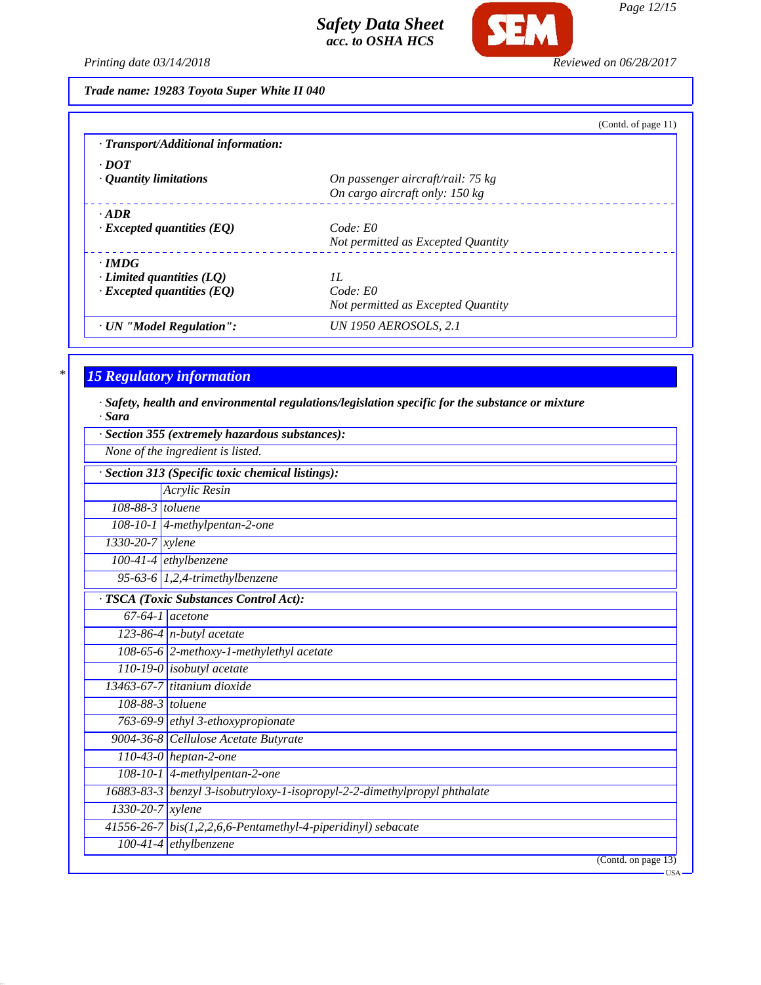

*Page 12/15*

*Printing date 03/14/2018 Reviewed on 06/28/2017*

*Trade name: 19283 Toyota Super White II 040*

|                                           | (Contd. of page $11$ )             |
|-------------------------------------------|------------------------------------|
| $\cdot$ Transport/Additional information: |                                    |
| $\cdot$ DOT                               |                                    |
| $\cdot$ Quantity limitations              | On passenger aircraft/rail: 75 kg  |
|                                           | On cargo aircraft only: 150 kg     |
| $\cdot$ ADR                               |                                    |
| $\cdot$ Excepted quantities (EQ)          | Code: E0                           |
|                                           | Not permitted as Excepted Quantity |
| $\cdot$ IMDG                              |                                    |
| $\cdot$ Limited quantities (LQ)           | II.                                |
| $\cdot$ Excepted quantities (EQ)          | Code: E0                           |
|                                           | Not permitted as Excepted Quantity |
| · UN "Model Regulation":                  | <i>UN 1950 AEROSOLS, 2.1</i>       |

## *\* 15 Regulatory information*

*· Safety, health and environmental regulations/legislation specific for the substance or mixture · Sara*

|                               | Section 355 (extremely hazardous substances):                             |
|-------------------------------|---------------------------------------------------------------------------|
|                               | None of the ingredient is listed.                                         |
|                               | Section 313 (Specific toxic chemical listings):                           |
|                               | Acrylic Resin                                                             |
| 108-88-3 toluene              |                                                                           |
|                               | $108-10-1$ 4-methylpentan-2-one                                           |
| 1330-20-7 xylene              |                                                                           |
|                               | $100-41-4$ ethylbenzene                                                   |
|                               | 95-63-6 $1,2,4$ -trimethylbenzene                                         |
|                               | <b>TSCA</b> (Toxic Substances Control Act):                               |
|                               | $67-64-1$ acetone                                                         |
|                               | 123-86-4 $n$ -butyl acetate                                               |
|                               | 108-65-6 2-methoxy-1-methylethyl acetate                                  |
|                               | $110-19-0$ isobutyl acetate                                               |
|                               | 13463-67-7 titanium dioxide                                               |
| $108-88-3$ toluene            |                                                                           |
|                               | 763-69-9 ethyl 3-ethoxypropionate                                         |
|                               | 9004-36-8 Cellulose Acetate Butyrate                                      |
|                               | $110-43-0$ heptan-2-one                                                   |
|                               | 108-10-1 4-methylpentan-2-one                                             |
|                               | 16883-83-3 benzyl 3-isobutryloxy-1-isopropyl-2-2-dimethylpropyl phthalate |
| $1330 - 20 - 7$ <i>xylene</i> |                                                                           |
|                               | 41556-26-7 bis(1,2,2,6,6-Pentamethyl-4-piperidinyl) sebacate              |
|                               | $100-41-4$ ethylbenzene                                                   |
|                               | (Contd. on page 13)                                                       |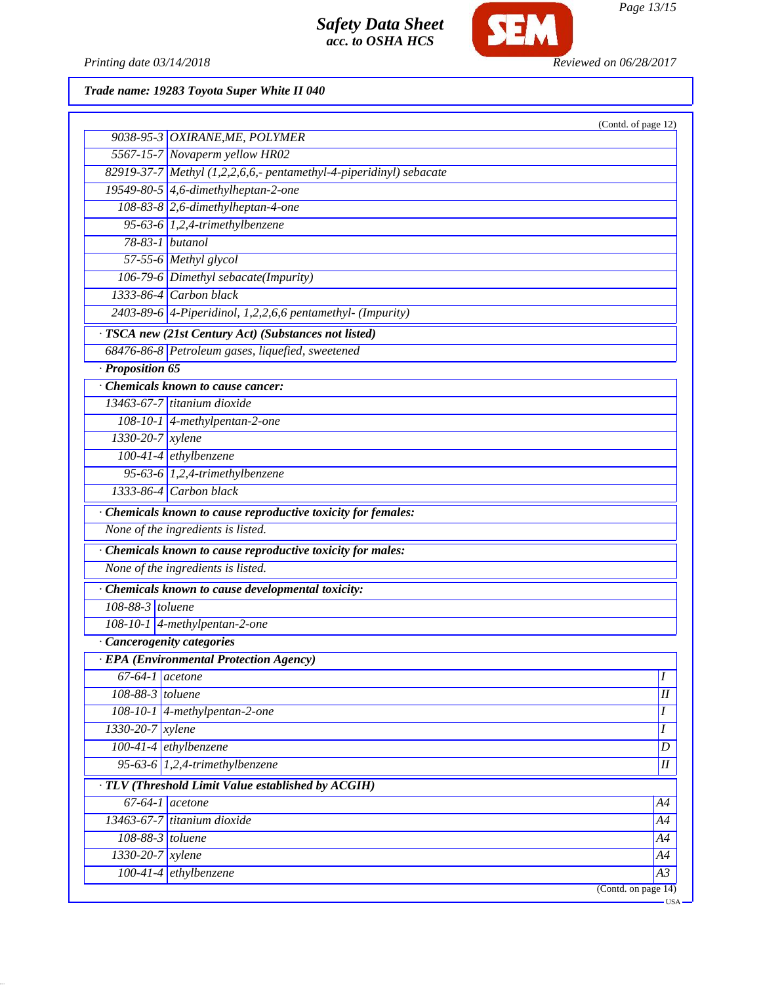

Printing date 03/14/2018 **Reviewed on 06/28/2017** 

*Trade name: 19283 Toyota Super White II 040*

|                              |                                                                    | (Contd. of page 12) |
|------------------------------|--------------------------------------------------------------------|---------------------|
|                              | 9038-95-3 OXIRANE, ME, POLYMER                                     |                     |
|                              | 5567-15-7 Novaperm yellow HR02                                     |                     |
|                              | 82919-37-7 Methyl (1,2,2,6,6,- pentamethyl-4-piperidinyl) sebacate |                     |
|                              | 19549-80-5 4,6-dimethylheptan-2-one                                |                     |
|                              | 108-83-8 2,6-dimethylheptan-4-one                                  |                     |
|                              | 95-63-6 $1,2,4$ -trimethylbenzene                                  |                     |
| 78-83-1 butanol              |                                                                    |                     |
|                              | 57-55-6 Methyl glycol                                              |                     |
|                              | 106-79-6 Dimethyl sebacate(Impurity)                               |                     |
|                              | 1333-86-4 Carbon black                                             |                     |
|                              | $2403-89-6$ 4-Piperidinol, 1,2,2,6,6 pentamethyl- (Impurity)       |                     |
|                              | · TSCA new (21st Century Act) (Substances not listed)              |                     |
|                              | 68476-86-8 Petroleum gases, liquefied, sweetened                   |                     |
| · Proposition 65             |                                                                    |                     |
|                              | Chemicals known to cause cancer:                                   |                     |
|                              | 13463-67-7 titanium dioxide                                        |                     |
|                              | 108-10-1 4-methylpentan-2-one                                      |                     |
| 1330-20-7 xylene             |                                                                    |                     |
|                              | $100-41-4$ ethylbenzene                                            |                     |
|                              | 95-63-6 $1,2,4$ -trimethylbenzene                                  |                     |
|                              | $1333-86-4$ Carbon black                                           |                     |
|                              | · Chemicals known to cause reproductive toxicity for females:      |                     |
|                              | None of the ingredients is listed.                                 |                     |
|                              | · Chemicals known to cause reproductive toxicity for males:        |                     |
|                              | None of the ingredients is listed.                                 |                     |
|                              | · Chemicals known to cause developmental toxicity:                 |                     |
| 108-88-3 toluene             |                                                                    |                     |
|                              | 108-10-1 4-methylpentan-2-one                                      |                     |
| · Cancerogenity categories   |                                                                    |                     |
|                              | · EPA (Environmental Protection Agency)                            |                     |
|                              | $67-64-1$ acetone                                                  | $\boldsymbol{I}$    |
| 108-88-3 toluene             |                                                                    | $\overline{I}$      |
|                              | 108-10-1 4-methylpentan-2-one                                      | Ι                   |
| 1330-20-7 xylene             |                                                                    | I                   |
| $100-41-4$ ethylbenzene      |                                                                    | D                   |
|                              | 95-63-6 1,2,4-trimethylbenzene                                     | $\overline{I}$      |
|                              | · TLV (Threshold Limit Value established by ACGIH)                 |                     |
| $\overline{67-64-1}$ acetone |                                                                    | A4                  |
|                              | 13463-67-7 titanium dioxide                                        | A4                  |
|                              |                                                                    |                     |
| $108-88-3$ toluene           |                                                                    | A4                  |
| 1330-20-7 xylene             |                                                                    | A4                  |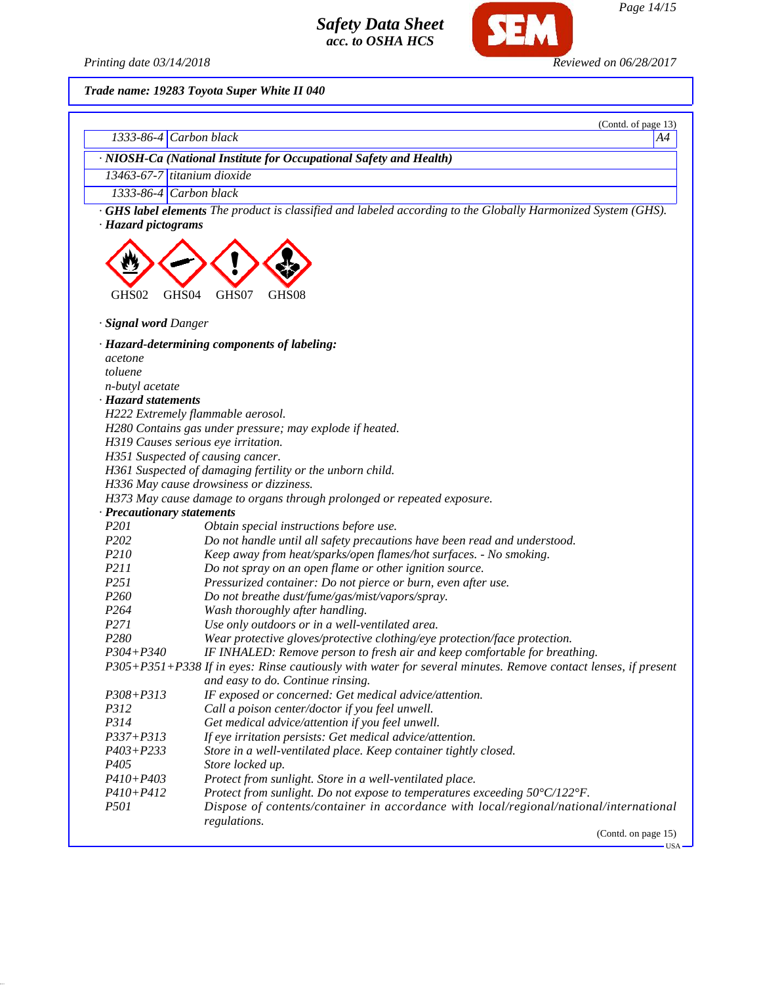*Printing date 03/14/2018 Reviewed on 06/28/2017*

SEM

*Trade name: 19283 Toyota Super White II 040*

| 1333-86-4 Carbon black      | (Contd. of page 13)<br>A4                                                                                          |
|-----------------------------|--------------------------------------------------------------------------------------------------------------------|
|                             |                                                                                                                    |
|                             | · NIOSH-Ca (National Institute for Occupational Safety and Health)                                                 |
| 13463-67-7 titanium dioxide |                                                                                                                    |
| 1333-86-4 Carbon black      |                                                                                                                    |
| · Hazard pictograms         | <b>GHS label elements</b> The product is classified and labeled according to the Globally Harmonized System (GHS). |
|                             |                                                                                                                    |
| GHS02<br>GHS <sub>04</sub>  | GHS07<br>GHS08                                                                                                     |
| · Signal word Danger        |                                                                                                                    |
|                             | · Hazard-determining components of labeling:                                                                       |
| acetone                     |                                                                                                                    |
| toluene                     |                                                                                                                    |
| n-butyl acetate             |                                                                                                                    |
| · Hazard statements         |                                                                                                                    |
|                             | H222 Extremely flammable aerosol.                                                                                  |
|                             | H280 Contains gas under pressure; may explode if heated.                                                           |
|                             | H319 Causes serious eye irritation.                                                                                |
|                             | H351 Suspected of causing cancer.                                                                                  |
|                             | H361 Suspected of damaging fertility or the unborn child.                                                          |
|                             | H336 May cause drowsiness or dizziness.                                                                            |
|                             | H373 May cause damage to organs through prolonged or repeated exposure.                                            |
| · Precautionary statements  |                                                                                                                    |
| P201                        | Obtain special instructions before use.                                                                            |
| P202                        | Do not handle until all safety precautions have been read and understood.                                          |
| P210                        | Keep away from heat/sparks/open flames/hot surfaces. - No smoking.                                                 |
| <i>P211</i>                 | Do not spray on an open flame or other ignition source.                                                            |
| P251                        | Pressurized container: Do not pierce or burn, even after use.                                                      |
| P <sub>260</sub>            | Do not breathe dust/fume/gas/mist/vapors/spray.                                                                    |
| P <sub>264</sub>            | Wash thoroughly after handling.                                                                                    |
| P271                        | Use only outdoors or in a well-ventilated area.                                                                    |
| P280                        | Wear protective gloves/protective clothing/eye protection/face protection.                                         |
| P304+P340                   | IF INHALED: Remove person to fresh air and keep comfortable for breathing.                                         |
|                             | P305+P351+P338 If in eyes: Rinse cautiously with water for several minutes. Remove contact lenses, if present      |
|                             | and easy to do. Continue rinsing.                                                                                  |
| P308+P313                   | IF exposed or concerned: Get medical advice/attention.                                                             |
| P312                        | Call a poison center/doctor if you feel unwell.                                                                    |
| P314                        | Get medical advice/attention if you feel unwell.                                                                   |
| $P337 + P313$               | If eye irritation persists: Get medical advice/attention.                                                          |
| $P403 + P233$               | Store in a well-ventilated place. Keep container tightly closed.                                                   |
| P <sub>405</sub>            | Store locked up.                                                                                                   |
| $P410 + P403$               | Protect from sunlight. Store in a well-ventilated place.                                                           |
| $P410 + P412$               | Protect from sunlight. Do not expose to temperatures exceeding 50°C/122°F.                                         |
| P501                        | Dispose of contents/container in accordance with local/regional/national/international                             |
|                             | regulations.<br>(Contd. on page 15)                                                                                |

 $-<sub>USA</sub>$